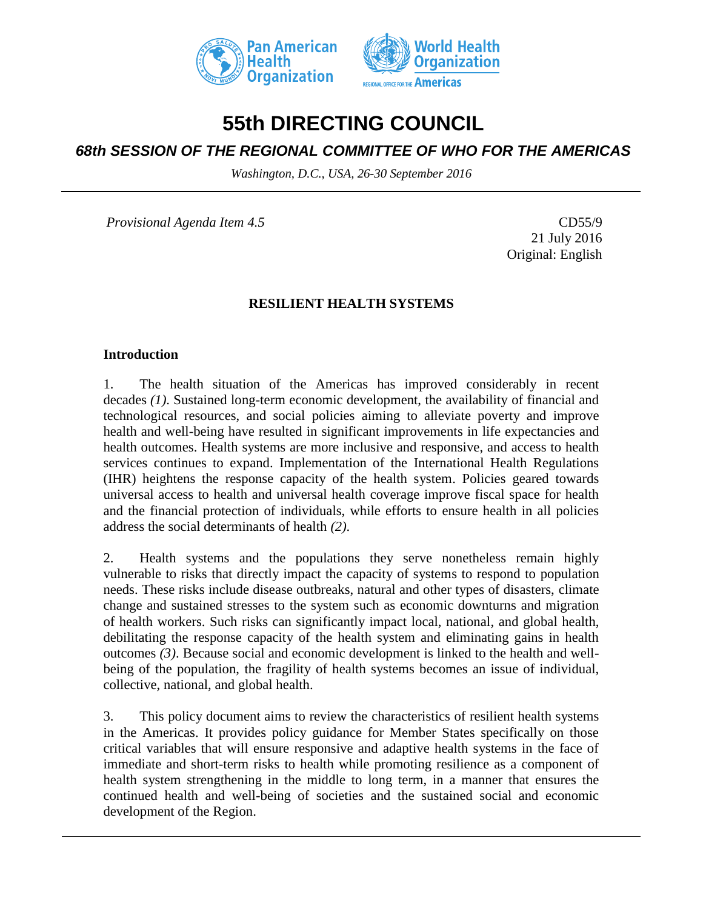



# **55th DIRECTING COUNCIL**

# *68th SESSION OF THE REGIONAL COMMITTEE OF WHO FOR THE AMERICAS*

*Washington, D.C., USA, 26-30 September 2016*

*Provisional Agenda Item 4.5* CD55/9

21 July 2016 Original: English

# **RESILIENT HEALTH SYSTEMS**

### **Introduction**

1. The health situation of the Americas has improved considerably in recent decades *(1)*. Sustained long-term economic development, the availability of financial and technological resources, and social policies aiming to alleviate poverty and improve health and well-being have resulted in significant improvements in life expectancies and health outcomes. Health systems are more inclusive and responsive, and access to health services continues to expand. Implementation of the International Health Regulations (IHR) heightens the response capacity of the health system. Policies geared towards universal access to health and universal health coverage improve fiscal space for health and the financial protection of individuals, while efforts to ensure health in all policies address the social determinants of health *(2)*.

2. Health systems and the populations they serve nonetheless remain highly vulnerable to risks that directly impact the capacity of systems to respond to population needs. These risks include disease outbreaks, natural and other types of disasters, climate change and sustained stresses to the system such as economic downturns and migration of health workers. Such risks can significantly impact local, national, and global health, debilitating the response capacity of the health system and eliminating gains in health outcomes *(3)*. Because social and economic development is linked to the health and wellbeing of the population, the fragility of health systems becomes an issue of individual, collective, national, and global health.

3. This policy document aims to review the characteristics of resilient health systems in the Americas. It provides policy guidance for Member States specifically on those critical variables that will ensure responsive and adaptive health systems in the face of immediate and short-term risks to health while promoting resilience as a component of health system strengthening in the middle to long term, in a manner that ensures the continued health and well-being of societies and the sustained social and economic development of the Region.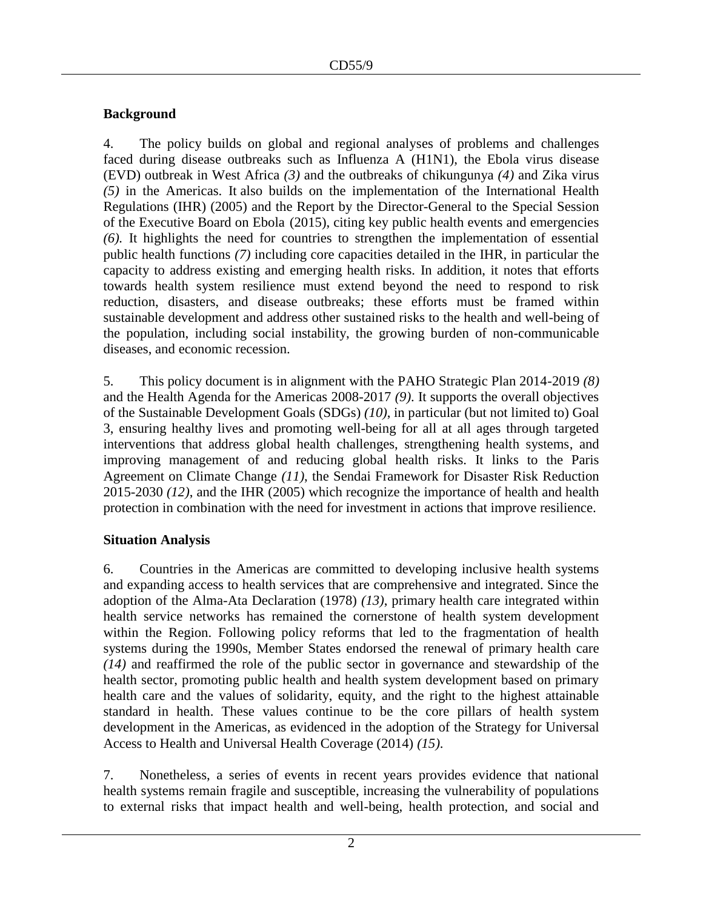# **Background**

4. The policy builds on global and regional analyses of problems and challenges faced during disease outbreaks such as Influenza A (H1N1), the Ebola virus disease (EVD) outbreak in West Africa *(3)* and the outbreaks of chikungunya *(4)* and Zika virus *(5)* in the Americas. It also builds on the implementation of the International Health Regulations (IHR) (2005) and the Report by the Director-General to the Special Session of the Executive Board on Ebola (2015), citing key public health events and emergencies *(6).* It highlights the need for countries to strengthen the implementation of essential public health functions *(7)* including core capacities detailed in the IHR, in particular the capacity to address existing and emerging health risks. In addition, it notes that efforts towards health system resilience must extend beyond the need to respond to risk reduction, disasters, and disease outbreaks; these efforts must be framed within sustainable development and address other sustained risks to the health and well-being of the population, including social instability, the growing burden of non-communicable diseases, and economic recession.

5. This policy document is in alignment with the PAHO Strategic Plan 2014-2019 *(8)* and the Health Agenda for the Americas 2008-2017 *(9)*. It supports the overall objectives of the Sustainable Development Goals (SDGs) *(10)*, in particular (but not limited to) Goal 3, ensuring healthy lives and promoting well-being for all at all ages through targeted interventions that address global health challenges, strengthening health systems, and improving management of and reducing global health risks. It links to the Paris Agreement on Climate Change *(11)*, the Sendai Framework for Disaster Risk Reduction 2015-2030 *(12)*, and the IHR (2005) which recognize the importance of health and health protection in combination with the need for investment in actions that improve resilience.

# **Situation Analysis**

6. Countries in the Americas are committed to developing inclusive health systems and expanding access to health services that are comprehensive and integrated. Since the adoption of the Alma-Ata Declaration (1978) *(13)*, primary health care integrated within health service networks has remained the cornerstone of health system development within the Region. Following policy reforms that led to the fragmentation of health systems during the 1990s, Member States endorsed the renewal of primary health care *(14)* and reaffirmed the role of the public sector in governance and stewardship of the health sector, promoting public health and health system development based on primary health care and the values of solidarity, equity, and the right to the highest attainable standard in health. These values continue to be the core pillars of health system development in the Americas, as evidenced in the adoption of the Strategy for Universal Access to Health and Universal Health Coverage (2014) *(15)*.

7. Nonetheless, a series of events in recent years provides evidence that national health systems remain fragile and susceptible, increasing the vulnerability of populations to external risks that impact health and well-being, health protection, and social and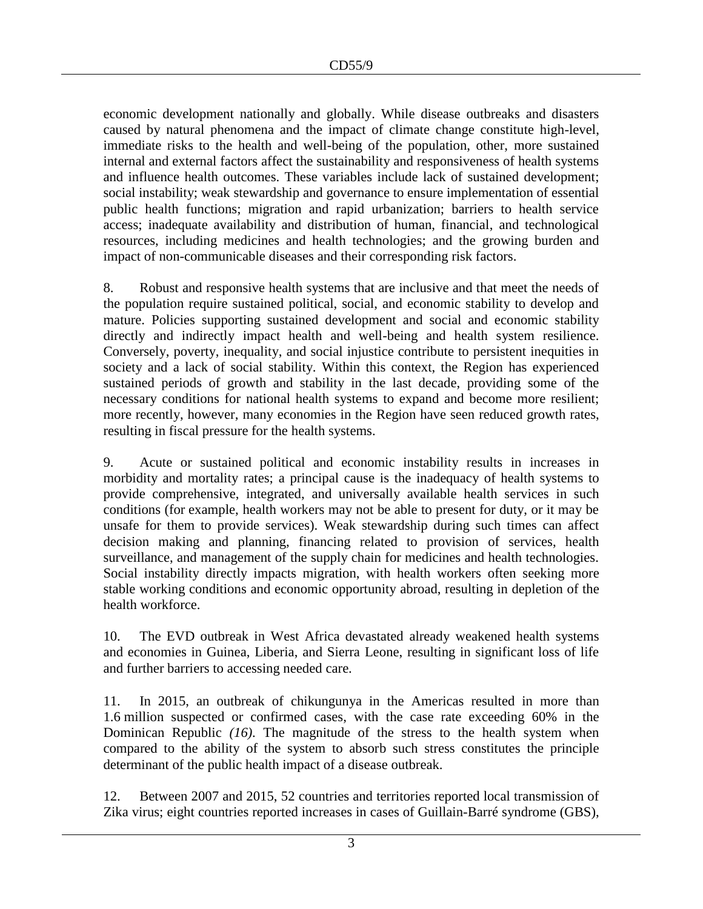economic development nationally and globally. While disease outbreaks and disasters caused by natural phenomena and the impact of climate change constitute high-level, immediate risks to the health and well-being of the population, other, more sustained internal and external factors affect the sustainability and responsiveness of health systems and influence health outcomes. These variables include lack of sustained development; social instability; weak stewardship and governance to ensure implementation of essential public health functions; migration and rapid urbanization; barriers to health service access; inadequate availability and distribution of human, financial, and technological resources, including medicines and health technologies; and the growing burden and impact of non-communicable diseases and their corresponding risk factors.

8. Robust and responsive health systems that are inclusive and that meet the needs of the population require sustained political, social, and economic stability to develop and mature. Policies supporting sustained development and social and economic stability directly and indirectly impact health and well-being and health system resilience. Conversely, poverty, inequality, and social injustice contribute to persistent inequities in society and a lack of social stability. Within this context, the Region has experienced sustained periods of growth and stability in the last decade, providing some of the necessary conditions for national health systems to expand and become more resilient; more recently, however, many economies in the Region have seen reduced growth rates, resulting in fiscal pressure for the health systems.

9. Acute or sustained political and economic instability results in increases in morbidity and mortality rates; a principal cause is the inadequacy of health systems to provide comprehensive, integrated, and universally available health services in such conditions (for example, health workers may not be able to present for duty, or it may be unsafe for them to provide services). Weak stewardship during such times can affect decision making and planning, financing related to provision of services, health surveillance, and management of the supply chain for medicines and health technologies. Social instability directly impacts migration, with health workers often seeking more stable working conditions and economic opportunity abroad, resulting in depletion of the health workforce.

10. The EVD outbreak in West Africa devastated already weakened health systems and economies in Guinea, Liberia, and Sierra Leone, resulting in significant loss of life and further barriers to accessing needed care.

11. In 2015, an outbreak of chikungunya in the Americas resulted in more than 1.6 million suspected or confirmed cases, with the case rate exceeding 60% in the Dominican Republic *(16)*. The magnitude of the stress to the health system when compared to the ability of the system to absorb such stress constitutes the principle determinant of the public health impact of a disease outbreak.

12. Between 2007 and 2015, 52 countries and territories reported local transmission of Zika virus; eight countries reported increases in cases of Guillain-Barré syndrome (GBS),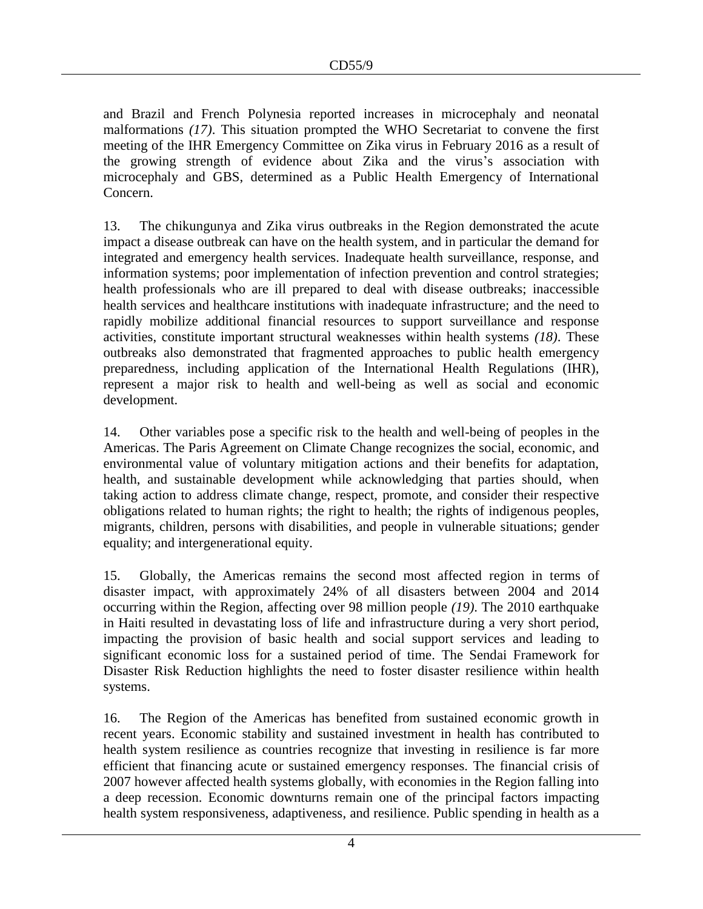and Brazil and French Polynesia reported increases in microcephaly and neonatal malformations *(17)*. This situation prompted the WHO Secretariat to convene the first meeting of the IHR Emergency Committee on Zika virus in February 2016 as a result of the growing strength of evidence about Zika and the virus's association with microcephaly and GBS, determined as a Public Health Emergency of International Concern.

13. The chikungunya and Zika virus outbreaks in the Region demonstrated the acute impact a disease outbreak can have on the health system, and in particular the demand for integrated and emergency health services. Inadequate health surveillance, response, and information systems; poor implementation of infection prevention and control strategies; health professionals who are ill prepared to deal with disease outbreaks; inaccessible health services and healthcare institutions with inadequate infrastructure; and the need to rapidly mobilize additional financial resources to support surveillance and response activities, constitute important structural weaknesses within health systems *(18)*. These outbreaks also demonstrated that fragmented approaches to public health emergency preparedness, including application of the International Health Regulations (IHR), represent a major risk to health and well-being as well as social and economic development.

14. Other variables pose a specific risk to the health and well-being of peoples in the Americas. The [Paris Agreement](https://en.wikipedia.org/wiki/Paris_Agreement) on [Climate Change](https://en.wikipedia.org/wiki/Climate_change) recognizes the social, economic, and environmental value of voluntary mitigation actions and their benefits for adaptation, health, and sustainable development while acknowledging that parties should, when taking action to address climate change, respect, promote, and consider their respective obligations related to human rights; the right to health; the rights of indigenous peoples, migrants, children, persons with disabilities, and people in vulnerable situations; gender equality; and intergenerational equity.

15. Globally, the Americas remains the second most affected region in terms of disaster impact, with approximately 24% of all disasters between 2004 and 2014 occurring within the Region, affecting over 98 million people *(19)*. The 2010 earthquake in Haiti resulted in devastating loss of life and infrastructure during a very short period, impacting the provision of basic health and social support services and leading to significant economic loss for a sustained period of time. The Sendai Framework for Disaster Risk Reduction highlights the need to foster disaster resilience within health systems.

16. The Region of the Americas has benefited from sustained economic growth in recent years. Economic stability and sustained investment in health has contributed to health system resilience as countries recognize that investing in resilience is far more efficient that financing acute or sustained emergency responses. The financial crisis of 2007 however affected health systems globally, with economies in the Region falling into a deep recession. Economic downturns remain one of the principal factors impacting health system responsiveness, adaptiveness, and resilience. Public spending in health as a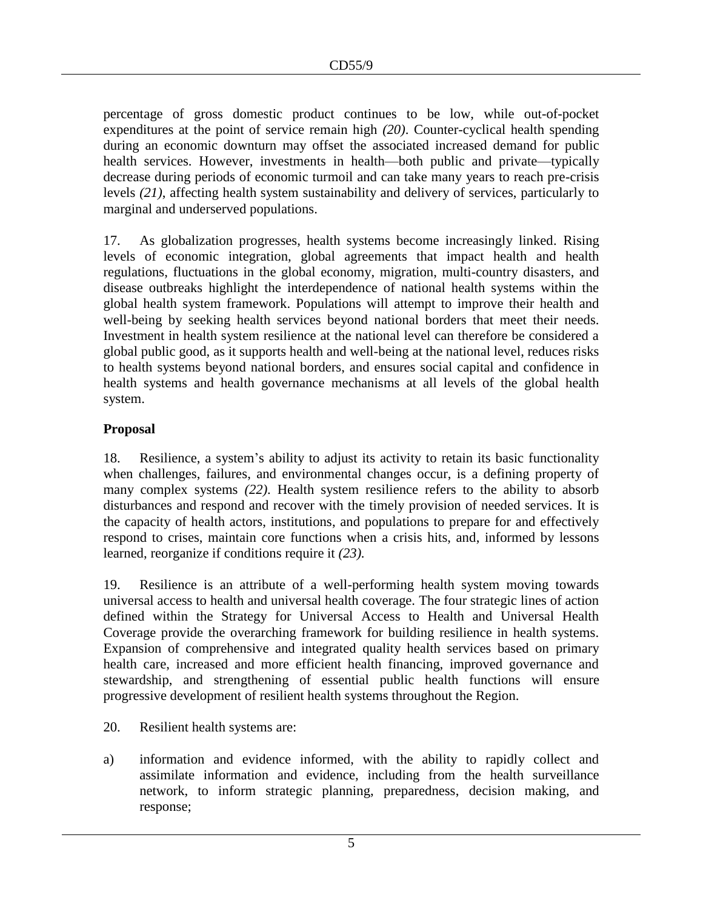percentage of gross domestic product continues to be low, while out-of-pocket expenditures at the point of service remain high *(20)*. Counter-cyclical health spending during an economic downturn may offset the associated increased demand for public health services. However, investments in health—both public and private—typically decrease during periods of economic turmoil and can take many years to reach pre-crisis levels *(21)*, affecting health system sustainability and delivery of services, particularly to marginal and underserved populations.

17. As globalization progresses, health systems become increasingly linked. Rising levels of economic integration, global agreements that impact health and health regulations, fluctuations in the global economy, migration, multi-country disasters, and disease outbreaks highlight the interdependence of national health systems within the global health system framework. Populations will attempt to improve their health and well-being by seeking health services beyond national borders that meet their needs. Investment in health system resilience at the national level can therefore be considered a global public good, as it supports health and well-being at the national level, reduces risks to health systems beyond national borders, and ensures social capital and confidence in health systems and health governance mechanisms at all levels of the global health system.

# **Proposal**

18. Resilience, a system's ability to adjust its activity to retain its basic functionality when challenges, failures, and environmental changes occur, is a defining property of many complex systems *(22)*. Health system resilience refers to the ability to absorb disturbances and respond and recover with the timely provision of needed services. It is the capacity of health actors, institutions, and populations to prepare for and effectively respond to crises, maintain core functions when a crisis hits, and, informed by lessons learned, reorganize if conditions require it *(23).*

19. Resilience is an attribute of a well-performing health system moving towards universal access to health and universal health coverage. The four strategic lines of action defined within the Strategy for Universal Access to Health and Universal Health Coverage provide the overarching framework for building resilience in health systems. Expansion of comprehensive and integrated quality health services based on primary health care, increased and more efficient health financing, improved governance and stewardship, and strengthening of essential public health functions will ensure progressive development of resilient health systems throughout the Region.

- 20. Resilient health systems are:
- a) information and evidence informed, with the ability to rapidly collect and assimilate information and evidence, including from the health surveillance network, to inform strategic planning, preparedness, decision making, and response;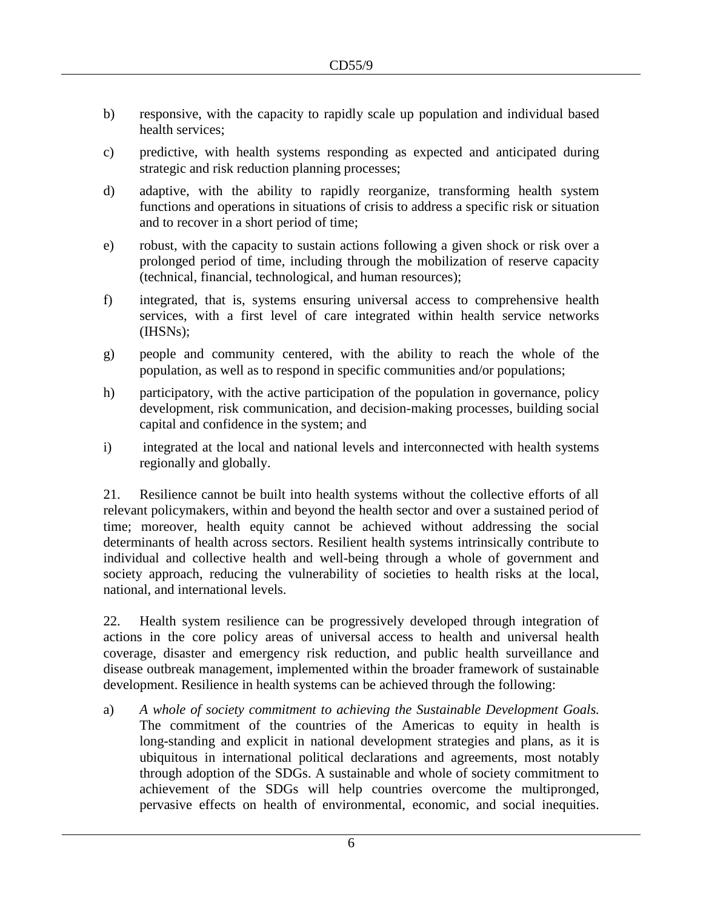- b) responsive, with the capacity to rapidly scale up population and individual based health services;
- c) predictive, with health systems responding as expected and anticipated during strategic and risk reduction planning processes;
- d) adaptive, with the ability to rapidly reorganize, transforming health system functions and operations in situations of crisis to address a specific risk or situation and to recover in a short period of time;
- e) robust, with the capacity to sustain actions following a given shock or risk over a prolonged period of time, including through the mobilization of reserve capacity (technical, financial, technological, and human resources);
- f) integrated, that is, systems ensuring universal access to comprehensive health services, with a first level of care integrated within health service networks (IHSNs);
- g) people and community centered, with the ability to reach the whole of the population, as well as to respond in specific communities and/or populations;
- h) participatory, with the active participation of the population in governance, policy development, risk communication, and decision-making processes, building social capital and confidence in the system; and
- i) integrated at the local and national levels and interconnected with health systems regionally and globally.

21. Resilience cannot be built into health systems without the collective efforts of all relevant policymakers, within and beyond the health sector and over a sustained period of time; moreover, health equity cannot be achieved without addressing the social determinants of health across sectors. Resilient health systems intrinsically contribute to individual and collective health and well-being through a whole of government and society approach, reducing the vulnerability of societies to health risks at the local, national, and international levels.

22. Health system resilience can be progressively developed through integration of actions in the core policy areas of universal access to health and universal health coverage, disaster and emergency risk reduction, and public health surveillance and disease outbreak management, implemented within the broader framework of sustainable development. Resilience in health systems can be achieved through the following:

a) *A whole of society commitment to achieving the Sustainable Development Goals.*  The commitment of the countries of the Americas to equity in health is long-standing and explicit in national development strategies and plans, as it is ubiquitous in international political declarations and agreements, most notably through adoption of the SDGs. A sustainable and whole of society commitment to achievement of the SDGs will help countries overcome the multipronged, pervasive effects on health of environmental, economic, and social inequities.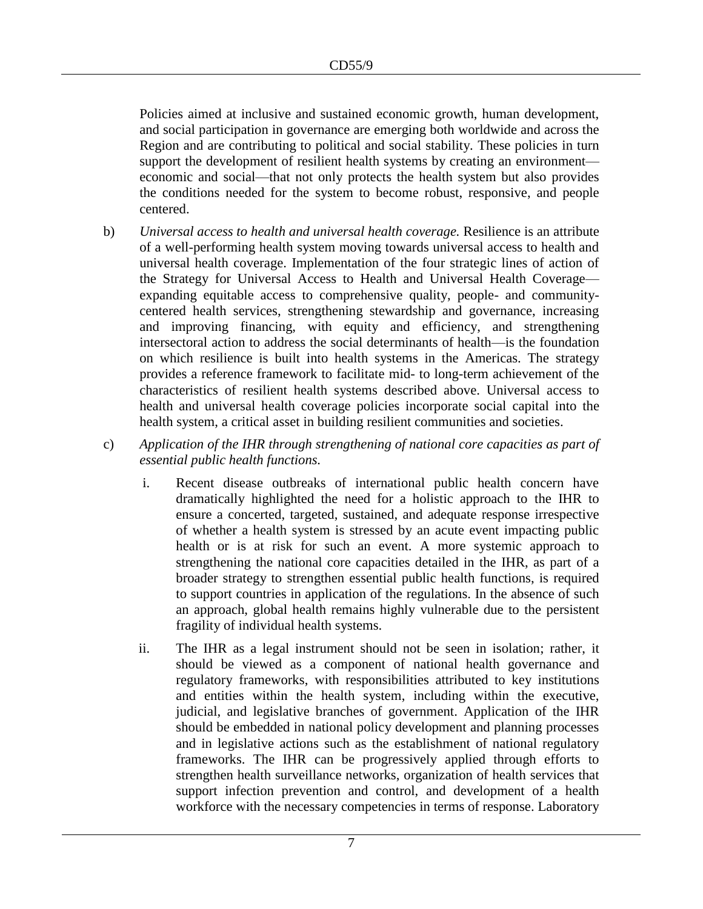Policies aimed at inclusive and sustained economic growth, human development, and social participation in governance are emerging both worldwide and across the Region and are contributing to political and social stability. These policies in turn support the development of resilient health systems by creating an environment economic and social—that not only protects the health system but also provides the conditions needed for the system to become robust, responsive, and people centered.

- b) *Universal access to health and universal health coverage.* Resilience is an attribute of a well-performing health system moving towards universal access to health and universal health coverage. Implementation of the four strategic lines of action of the Strategy for Universal Access to Health and Universal Health Coverage expanding equitable access to comprehensive quality, people- and communitycentered health services, strengthening stewardship and governance, increasing and improving financing, with equity and efficiency, and strengthening intersectoral action to address the social determinants of health—is the foundation on which resilience is built into health systems in the Americas. The strategy provides a reference framework to facilitate mid- to long-term achievement of the characteristics of resilient health systems described above. Universal access to health and universal health coverage policies incorporate social capital into the health system, a critical asset in building resilient communities and societies.
- c) *Application of the IHR through strengthening of national core capacities as part of essential public health functions.*
	- i. Recent disease outbreaks of international public health concern have dramatically highlighted the need for a holistic approach to the IHR to ensure a concerted, targeted, sustained, and adequate response irrespective of whether a health system is stressed by an acute event impacting public health or is at risk for such an event. A more systemic approach to strengthening the national core capacities detailed in the IHR, as part of a broader strategy to strengthen essential public health functions, is required to support countries in application of the regulations. In the absence of such an approach, global health remains highly vulnerable due to the persistent fragility of individual health systems.
	- ii. The IHR as a legal instrument should not be seen in isolation; rather, it should be viewed as a component of national health governance and regulatory frameworks, with responsibilities attributed to key institutions and entities within the health system, including within the executive, judicial, and legislative branches of government. Application of the IHR should be embedded in national policy development and planning processes and in legislative actions such as the establishment of national regulatory frameworks. The IHR can be progressively applied through efforts to strengthen health surveillance networks, organization of health services that support infection prevention and control, and development of a health workforce with the necessary competencies in terms of response. Laboratory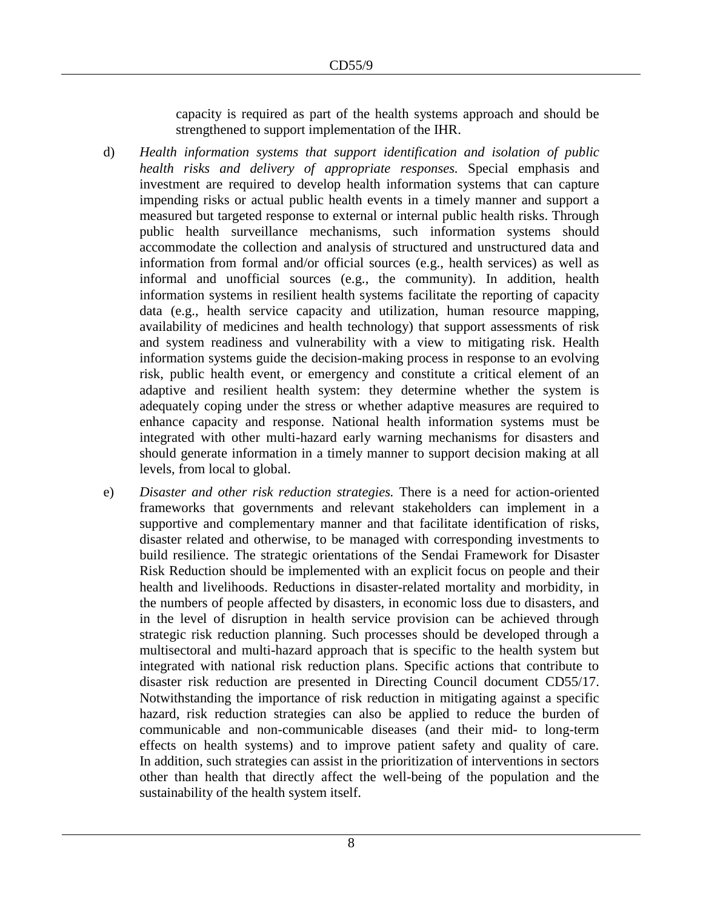capacity is required as part of the health systems approach and should be strengthened to support implementation of the IHR.

- d) *Health information systems that support identification and isolation of public health risks and delivery of appropriate responses.* Special emphasis and investment are required to develop health information systems that can capture impending risks or actual public health events in a timely manner and support a measured but targeted response to external or internal public health risks. Through public health surveillance mechanisms, such information systems should accommodate the collection and analysis of structured and unstructured data and information from formal and/or official sources (e.g., health services) as well as informal and unofficial sources (e.g., the community). In addition, health information systems in resilient health systems facilitate the reporting of capacity data (e.g., health service capacity and utilization, human resource mapping, availability of medicines and health technology) that support assessments of risk and system readiness and vulnerability with a view to mitigating risk. Health information systems guide the decision-making process in response to an evolving risk, public health event, or emergency and constitute a critical element of an adaptive and resilient health system: they determine whether the system is adequately coping under the stress or whether adaptive measures are required to enhance capacity and response. National health information systems must be integrated with other multi-hazard early warning mechanisms for disasters and should generate information in a timely manner to support decision making at all levels, from local to global.
- e) *Disaster and other risk reduction strategies.* There is a need for action-oriented frameworks that governments and relevant stakeholders can implement in a supportive and complementary manner and that facilitate identification of risks, disaster related and otherwise, to be managed with corresponding investments to build resilience. The strategic orientations of the Sendai Framework for Disaster Risk Reduction should be implemented with an explicit focus on people and their health and livelihoods. Reductions in disaster-related mortality and morbidity, in the numbers of people affected by disasters, in economic loss due to disasters, and in the level of disruption in health service provision can be achieved through strategic risk reduction planning. Such processes should be developed through a multisectoral and multi-hazard approach that is specific to the health system but integrated with national risk reduction plans. Specific actions that contribute to disaster risk reduction are presented in Directing Council document CD55/17. Notwithstanding the importance of risk reduction in mitigating against a specific hazard, risk reduction strategies can also be applied to reduce the burden of communicable and non-communicable diseases (and their mid- to long-term effects on health systems) and to improve patient safety and quality of care. In addition, such strategies can assist in the prioritization of interventions in sectors other than health that directly affect the well-being of the population and the sustainability of the health system itself.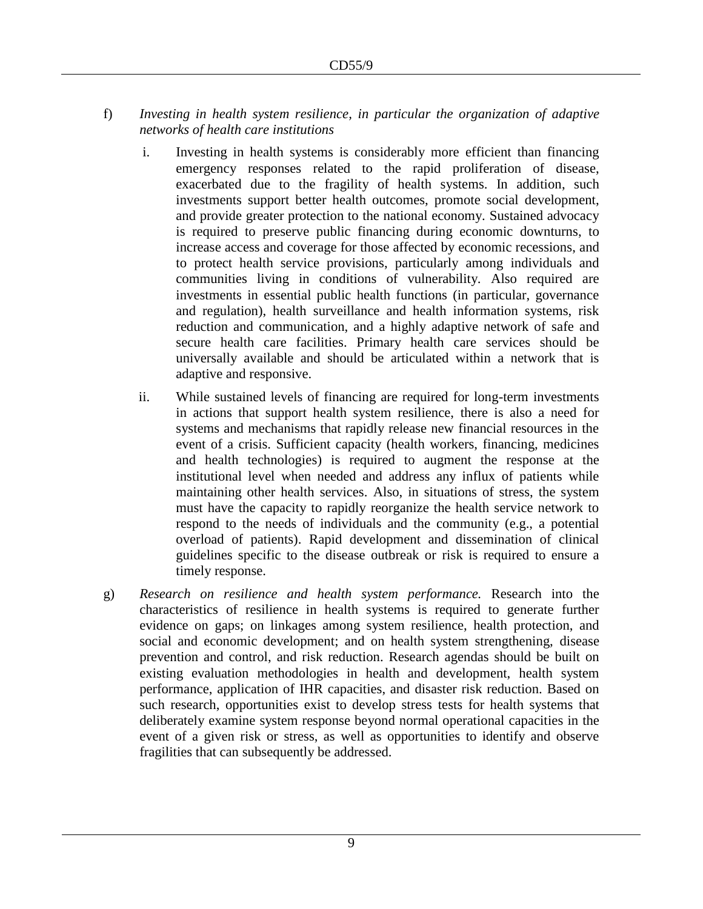- f) *Investing in health system resilience, in particular the organization of adaptive networks of health care institutions*
	- i. Investing in health systems is considerably more efficient than financing emergency responses related to the rapid proliferation of disease, exacerbated due to the fragility of health systems. In addition, such investments support better health outcomes, promote social development, and provide greater protection to the national economy. Sustained advocacy is required to preserve public financing during economic downturns, to increase access and coverage for those affected by economic recessions, and to protect health service provisions, particularly among individuals and communities living in conditions of vulnerability. Also required are investments in essential public health functions (in particular, governance and regulation), health surveillance and health information systems, risk reduction and communication, and a highly adaptive network of safe and secure health care facilities. Primary health care services should be universally available and should be articulated within a network that is adaptive and responsive.
	- ii. While sustained levels of financing are required for long-term investments in actions that support health system resilience, there is also a need for systems and mechanisms that rapidly release new financial resources in the event of a crisis. Sufficient capacity (health workers, financing, medicines and health technologies) is required to augment the response at the institutional level when needed and address any influx of patients while maintaining other health services. Also, in situations of stress, the system must have the capacity to rapidly reorganize the health service network to respond to the needs of individuals and the community (e.g., a potential overload of patients). Rapid development and dissemination of clinical guidelines specific to the disease outbreak or risk is required to ensure a timely response.
- g) *Research on resilience and health system performance.* Research into the characteristics of resilience in health systems is required to generate further evidence on gaps; on linkages among system resilience, health protection, and social and economic development; and on health system strengthening, disease prevention and control, and risk reduction. Research agendas should be built on existing evaluation methodologies in health and development, health system performance, application of IHR capacities, and disaster risk reduction. Based on such research, opportunities exist to develop stress tests for health systems that deliberately examine system response beyond normal operational capacities in the event of a given risk or stress, as well as opportunities to identify and observe fragilities that can subsequently be addressed.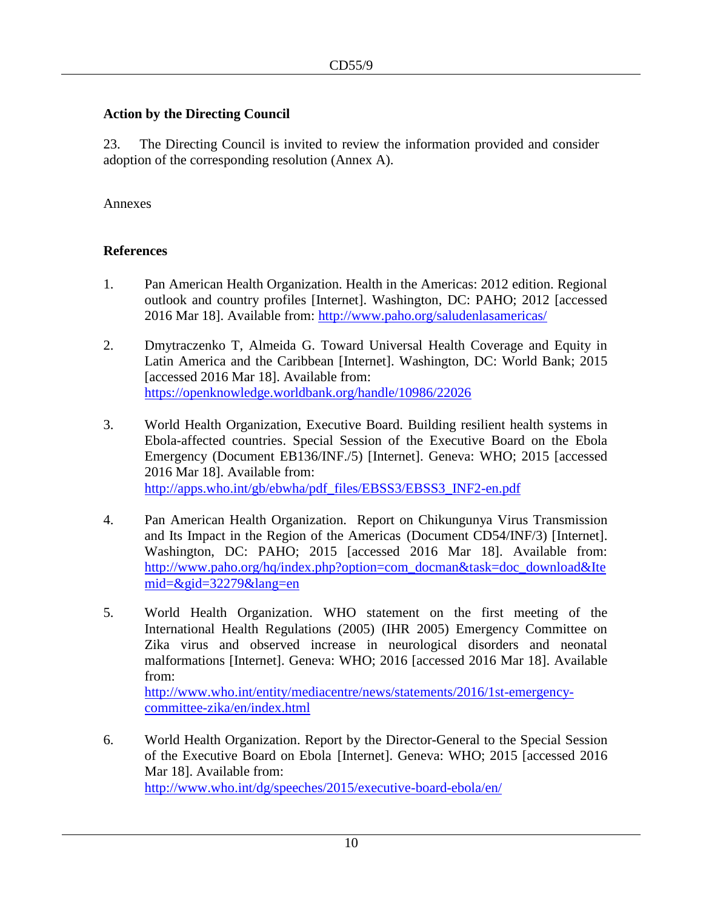# **Action by the Directing Council**

23. The Directing Council is invited to review the information provided and consider adoption of the corresponding resolution (Annex A).

### Annexes

# **References**

- 1. Pan American Health Organization. Health in the Americas: 2012 edition. Regional outlook and country profiles [Internet]. Washington, DC: PAHO; 2012 [accessed 2016 Mar 18]. Available from: <http://www.paho.org/saludenlasamericas/>
- 2. Dmytraczenko T, Almeida G. Toward Universal Health Coverage and Equity in Latin America and the Caribbean [Internet]. Washington, DC: World Bank; 2015 [accessed 2016 Mar 18]. Available from: <https://openknowledge.worldbank.org/handle/10986/22026>
- 3. World Health Organization, Executive Board. Building resilient health systems in Ebola-affected countries. Special Session of the Executive Board on the Ebola Emergency (Document EB136/INF./5) [Internet]. Geneva: WHO; 2015 [accessed 2016 Mar 18]. Available from: http://apps.who.int/gb/ebwha/pdf\_files/EBSS3/EBSS3\_INF2-en.pdf
- 4. Pan American Health Organization. [Report on Chikungunya Virus Transmission](http://www.paho.org/hq/index.php?option=com_docman&task=doc_download&Itemid=&gid=32279&lang=en)  [and Its Impact in the Region of the Americas](http://www.paho.org/hq/index.php?option=com_docman&task=doc_download&Itemid=&gid=32279&lang=en) (Document CD54/INF/3) [Internet]. Washington, DC: PAHO; 2015 [accessed 2016 Mar 18]. Available from: [http://www.paho.org/hq/index.php?option=com\\_docman&task=doc\\_download&Ite](http://www.paho.org/hq/index.php?option=com_docman&task=doc_download&Itemid=&gid=32279&lang=en) [mid=&gid=32279&lang=en](http://www.paho.org/hq/index.php?option=com_docman&task=doc_download&Itemid=&gid=32279&lang=en)
- 5. World Health Organization. WHO statement on the first meeting of the International Health Regulations (2005) (IHR 2005) Emergency Committee on Zika virus and observed increase in neurological disorders and neonatal malformations [Internet]. Geneva: WHO; 2016 [accessed 2016 Mar 18]. Available from: [http://www.who.int/entity/mediacentre/news/statements/2016/1st-emergency-](http://www.who.int/entity/mediacentre/news/statements/2016/1st-emergency-committee-zika/en/index.html)

[committee-zika/en/index.html](http://www.who.int/entity/mediacentre/news/statements/2016/1st-emergency-committee-zika/en/index.html)

6. World Health Organization. [Report by the Director-General to the Special Session](http://www.who.int/entity/dg/speeches/2015/executive-board-ebola/en/index.html)  [of the Executive Board on Ebola](http://www.who.int/entity/dg/speeches/2015/executive-board-ebola/en/index.html) [Internet]. Geneva: WHO; 2015 [accessed 2016 Mar 18]. Available from:

<http://www.who.int/dg/speeches/2015/executive-board-ebola/en/>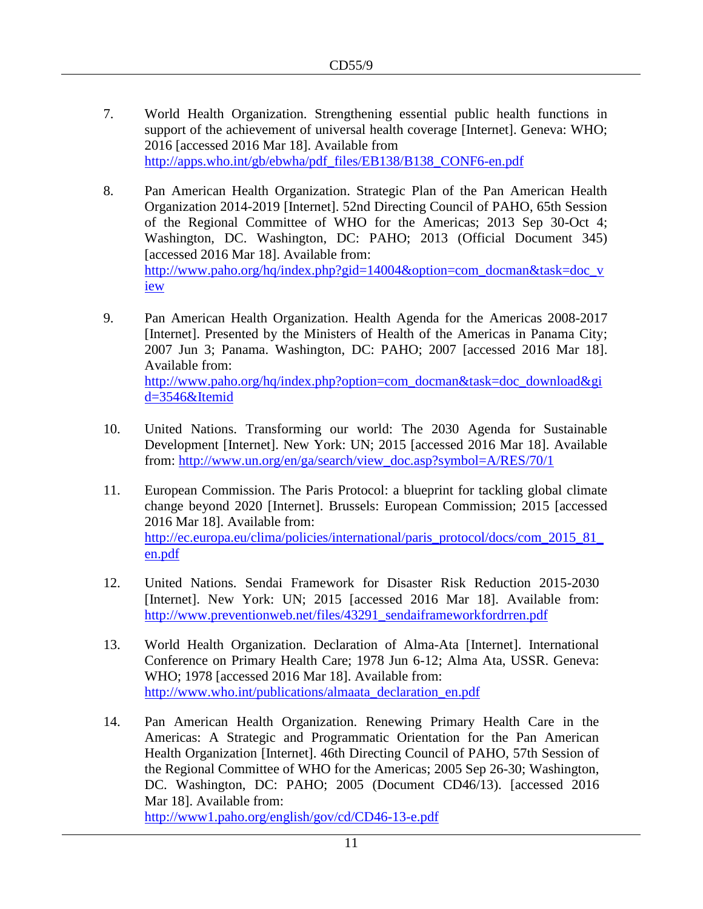- 7. World Health Organization. Strengthening essential public health functions in support of the achievement of universal health coverage [Internet]. Geneva: WHO; 2016 [accessed 2016 Mar 18]. Available from [http://apps.who.int/gb/ebwha/pdf\\_files/EB138/B138\\_CONF6-en.pdf](http://apps.who.int/gb/ebwha/pdf_files/EB138/B138_CONF6-en.pdf)
- 8. Pan American Health Organization. Strategic Plan of the Pan American Health Organization 2014-2019 [Internet]. 52nd Directing Council of PAHO, 65th Session of the Regional Committee of WHO for the Americas; 2013 Sep 30-Oct 4; Washington, DC. Washington, DC: PAHO; 2013 (Official Document 345) [accessed 2016 Mar 18]. Available from: [http://www.paho.org/hq/index.php?gid=14004&option=com\\_docman&task=doc\\_v](http://www.paho.org/hq/index.php?gid=14004&option=com_docman&task=doc_view) [iew](http://www.paho.org/hq/index.php?gid=14004&option=com_docman&task=doc_view)
- 9. Pan American Health Organization. Health Agenda for the Americas 2008-2017 [Internet]. Presented by the Ministers of Health of the Americas in Panama City; 2007 Jun 3; Panama. Washington, DC: PAHO; 2007 [accessed 2016 Mar 18]. Available from: http://www.paho.org/hq/index.php?option=com\_docman&task=doc\_download&gi d=3546&Itemid
- 10. United Nations. Transforming our world: The 2030 Agenda for Sustainable Development [Internet]. New York: UN; 2015 [accessed 2016 Mar 18]. Available from: [http://www.un.org/en/ga/search/view\\_doc.asp?symbol=A/RES/70/1](http://www.un.org/en/ga/search/view_doc.asp?symbol=A/RES/70/1)
- 11. European Commission. The Paris Protocol: a blueprint for tackling global climate change beyond 2020 [Internet]. Brussels: European Commission; 2015 [accessed 2016 Mar 18]. Available from: [http://ec.europa.eu/clima/policies/international/paris\\_protocol/docs/com\\_2015\\_81\\_](http://ec.europa.eu/clima/policies/international/paris_protocol/docs/com_2015_81_en.pdf) [en.pdf](http://ec.europa.eu/clima/policies/international/paris_protocol/docs/com_2015_81_en.pdf)
- 12. United Nations. Sendai Framework for Disaster Risk Reduction 2015-2030 [Internet]. New York: UN; 2015 [accessed 2016 Mar 18]. Available from: [http://www.preventionweb.net/files/43291\\_sendaiframeworkfordrren.pdf](http://www.preventionweb.net/files/43291_sendaiframeworkfordrren.pdf)
- 13. World Health Organization. Declaration of Alma-Ata [Internet]. International Conference on Primary Health Care; 1978 Jun 6-12; Alma Ata, USSR. Geneva: WHO; 1978 [accessed 2016 Mar 18]. Available from: [http://www.who.int/publications/almaata\\_declaration\\_en.pdf](http://www.who.int/publications/almaata_declaration_en.pdf)
- 14. Pan American Health Organization. Renewing Primary Health Care in the Americas: A Strategic and Programmatic Orientation for the Pan American Health Organization [Internet]. 46th Directing Council of PAHO, 57th Session of the Regional Committee of WHO for the Americas; 2005 Sep 26-30; Washington, DC. Washington, DC: PAHO; 2005 (Document CD46/13). [accessed 2016 Mar 18]. Available from: <http://www1.paho.org/english/gov/cd/CD46-13-e.pdf>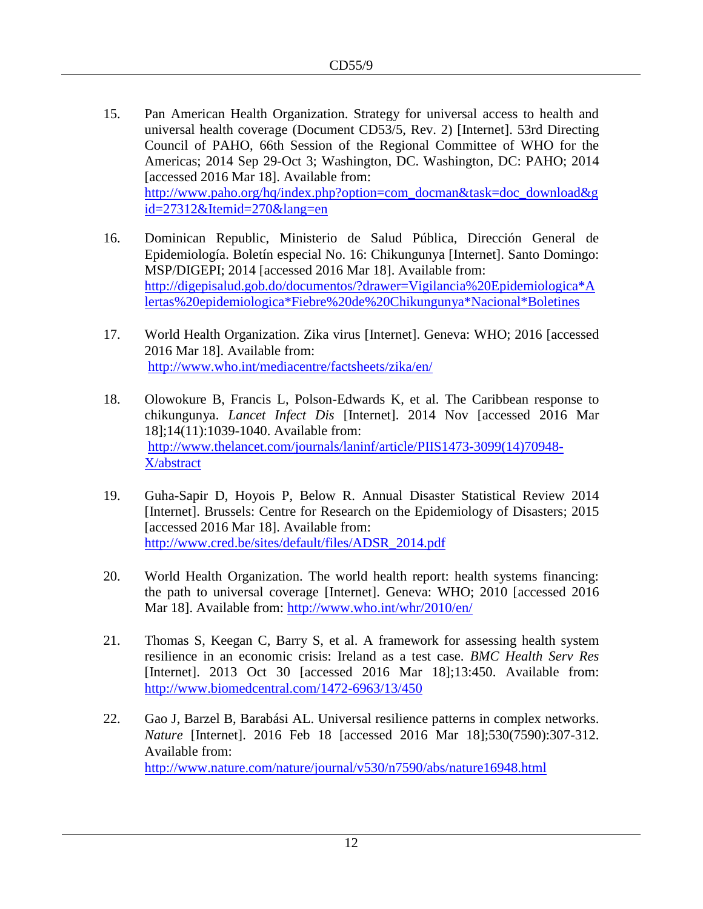- 15. Pan American Health Organization. Strategy for universal access to health and universal health coverage (Document CD53/5, Rev. 2) [Internet]. 53rd Directing Council of PAHO, 66th Session of the Regional Committee of WHO for the Americas; 2014 Sep 29-Oct 3; Washington, DC. Washington, DC: PAHO; 2014 [accessed 2016 Mar 18]. Available from: http://www.paho.org/hq/index.php?option=com\_docman&task=doc\_download&g id=27312&Itemid=270&lang=en
- 16. Dominican Republic, Ministerio de Salud Pública, Dirección General de Epidemiología. Boletín especial No. 16: Chikungunya [Internet]. Santo Domingo: MSP/DIGEPI; 2014 [accessed 2016 Mar 18]. Available from: [http://digepisalud.gob.do/documentos/?drawer=Vigilancia%20Epidemiologica\\*A](http://digepisalud.gob.do/documentos/?drawer=Vigilancia%20Epidemiologica*Alertas%20epidemiologica*Fiebre%20de%20Chikungunya*Nacional*Boletines) [lertas%20epidemiologica\\*Fiebre%20de%20Chikungunya\\*Nacional\\*Boletines](http://digepisalud.gob.do/documentos/?drawer=Vigilancia%20Epidemiologica*Alertas%20epidemiologica*Fiebre%20de%20Chikungunya*Nacional*Boletines)
- 17. World Health Organization. Zika virus [Internet]. Geneva: WHO; 2016 [accessed 2016 Mar 18]. Available from: <http://www.who.int/mediacentre/factsheets/zika/en/>
- 18. Olowokure B, Francis L, Polson-Edwards K, et al. The Caribbean response to chikungunya. *Lancet Infect Dis* [Internet]. 2014 Nov [accessed 2016 Mar 18];14(11):1039-1040. Available from: http://www.thelancet.com/journals/laninf/article/PIIS1473-3099(14)70948- X/abstract
- 19. Guha-Sapir D, Hoyois P, Below R. Annual Disaster Statistical Review 2014 [Internet]. Brussels: Centre for Research on the Epidemiology of Disasters; 2015 [accessed 2016 Mar 18]. Available from: [http://www.cred.be/sites/default/files/ADSR\\_2014.pdf](http://www.cred.be/sites/default/files/ADSR_2014.pdf)
- 20. World Health Organization. The world health report: health systems financing: the path to universal coverage [Internet]. Geneva: WHO; 2010 [accessed 2016 Mar 18]. Available from:<http://www.who.int/whr/2010/en/>
- 21. Thomas S, Keegan C, Barry S, et al. A framework for assessing health system resilience in an economic crisis: Ireland as a test case. *BMC Health Serv Res* [Internet]. 2013 Oct 30 [accessed 2016 Mar 18];13:450. Available from: <http://www.biomedcentral.com/1472-6963/13/450>
- 22. Gao J, Barzel B, Barabási AL. Universal resilience patterns in complex networks. *Nature* [Internet]. 2016 Feb 18 [accessed 2016 Mar 18];530(7590):307-312. Available from: <http://www.nature.com/nature/journal/v530/n7590/abs/nature16948.html>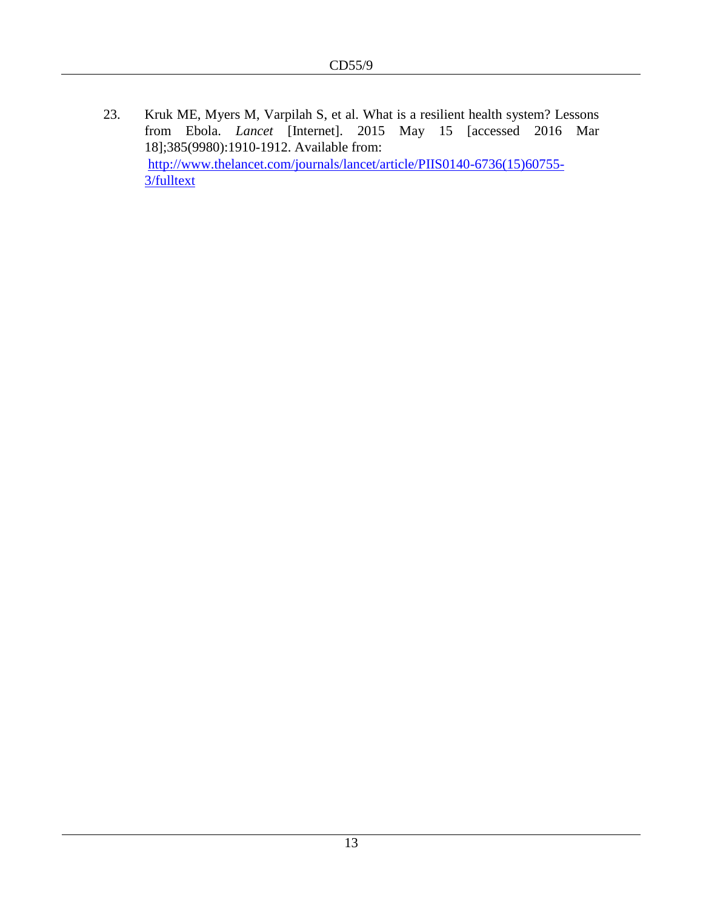23. Kruk ME, Myers M, Varpilah S, et al. What is a resilient health system? Lessons from Ebola. *Lancet* [Internet]. 2015 May 15 [accessed 2016 Mar 18];385(9980):1910-1912. Available from: [http://www.thelancet.com/journals/lancet/article/PIIS0140-6736\(15\)60755-](http://www.thelancet.com/journals/lancet/article/PIIS0140-6736(15)60755-3/fulltext) [3/fulltext](http://www.thelancet.com/journals/lancet/article/PIIS0140-6736(15)60755-3/fulltext)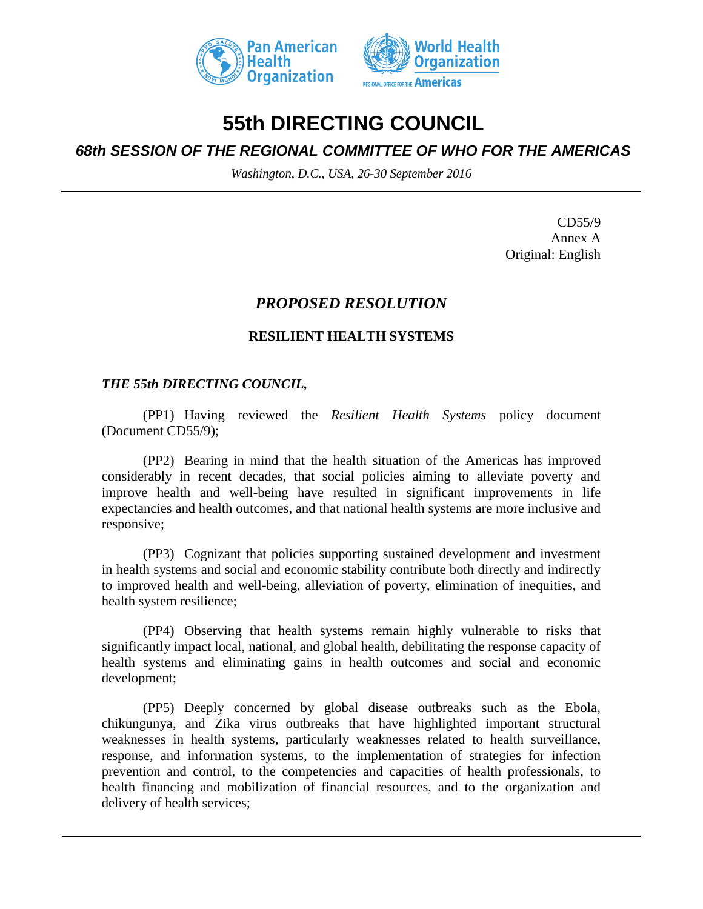



# **55th DIRECTING COUNCIL**

# *68th SESSION OF THE REGIONAL COMMITTEE OF WHO FOR THE AMERICAS*

*Washington, D.C., USA, 26-30 September 2016*

CD55/9 Annex A Original: English

# *PROPOSED RESOLUTION*

# **RESILIENT HEALTH SYSTEMS**

# *THE 55th DIRECTING COUNCIL,*

(PP1) Having reviewed the *Resilient Health Systems* policy document (Document CD55/9);

(PP2) Bearing in mind that the health situation of the Americas has improved considerably in recent decades, that social policies aiming to alleviate poverty and improve health and well-being have resulted in significant improvements in life expectancies and health outcomes, and that national health systems are more inclusive and responsive;

(PP3) Cognizant that policies supporting sustained development and investment in health systems and social and economic stability contribute both directly and indirectly to improved health and well-being, alleviation of poverty, elimination of inequities, and health system resilience;

(PP4) Observing that health systems remain highly vulnerable to risks that significantly impact local, national, and global health, debilitating the response capacity of health systems and eliminating gains in health outcomes and social and economic development;

(PP5) Deeply concerned by global disease outbreaks such as the Ebola, chikungunya, and Zika virus outbreaks that have highlighted important structural weaknesses in health systems, particularly weaknesses related to health surveillance, response, and information systems, to the implementation of strategies for infection prevention and control, to the competencies and capacities of health professionals, to health financing and mobilization of financial resources, and to the organization and delivery of health services;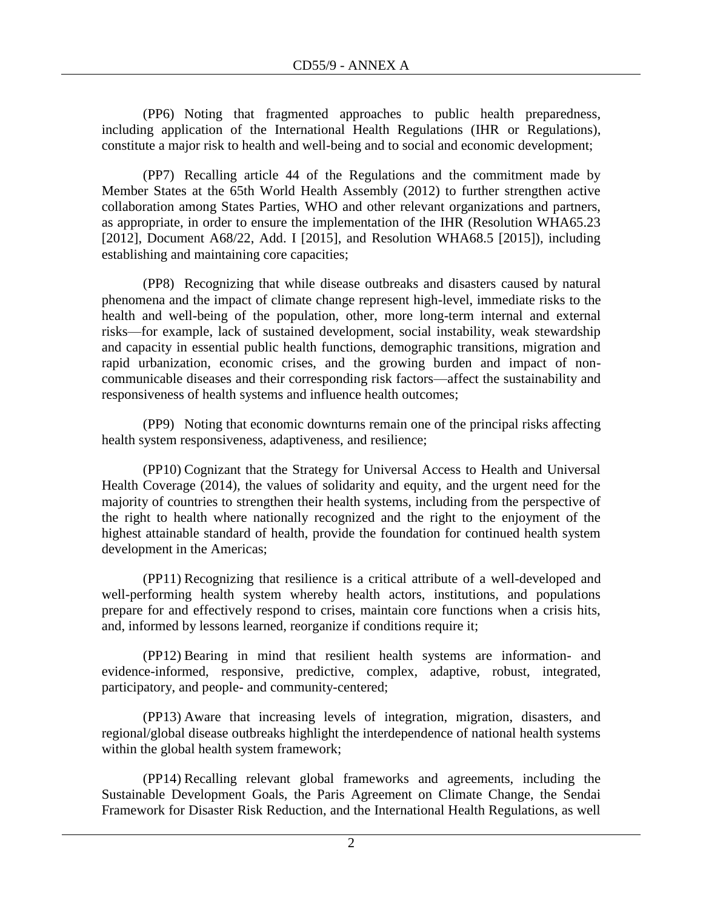(PP6) Noting that fragmented approaches to public health preparedness, including application of the International Health Regulations (IHR or Regulations), constitute a major risk to health and well-being and to social and economic development;

(PP7) Recalling article 44 of the Regulations and the commitment made by Member States at the 65th World Health Assembly (2012) to further strengthen active collaboration among States Parties, WHO and other relevant organizations and partners, as appropriate, in order to ensure the implementation of the IHR (Resolution WHA65.23 [2012], Document A68/22, Add. I [2015], and Resolution WHA68.5 [2015]), including establishing and maintaining core capacities;

(PP8) Recognizing that while disease outbreaks and disasters caused by natural phenomena and the impact of climate change represent high-level, immediate risks to the health and well-being of the population, other, more long-term internal and external risks—for example, lack of sustained development, social instability, weak stewardship and capacity in essential public health functions, demographic transitions, migration and rapid urbanization, economic crises, and the growing burden and impact of noncommunicable diseases and their corresponding risk factors—affect the sustainability and responsiveness of health systems and influence health outcomes;

(PP9) Noting that economic downturns remain one of the principal risks affecting health system responsiveness, adaptiveness, and resilience;

(PP10) Cognizant that the Strategy for Universal Access to Health and Universal Health Coverage (2014), the values of solidarity and equity, and the urgent need for the majority of countries to strengthen their health systems, including from the perspective of the right to health where nationally recognized and the right to the enjoyment of the highest attainable standard of health, provide the foundation for continued health system development in the Americas;

(PP11) Recognizing that resilience is a critical attribute of a well-developed and well-performing health system whereby health actors, institutions, and populations prepare for and effectively respond to crises, maintain core functions when a crisis hits, and, informed by lessons learned, reorganize if conditions require it;

(PP12) Bearing in mind that resilient health systems are information- and evidence-informed, responsive, predictive, complex, adaptive, robust, integrated, participatory, and people- and community-centered;

(PP13) Aware that increasing levels of integration, migration, disasters, and regional/global disease outbreaks highlight the interdependence of national health systems within the global health system framework;

(PP14) Recalling relevant global frameworks and agreements, including the Sustainable Development Goals, the Paris Agreement on Climate Change, the Sendai Framework for Disaster Risk Reduction, and the International Health Regulations, as well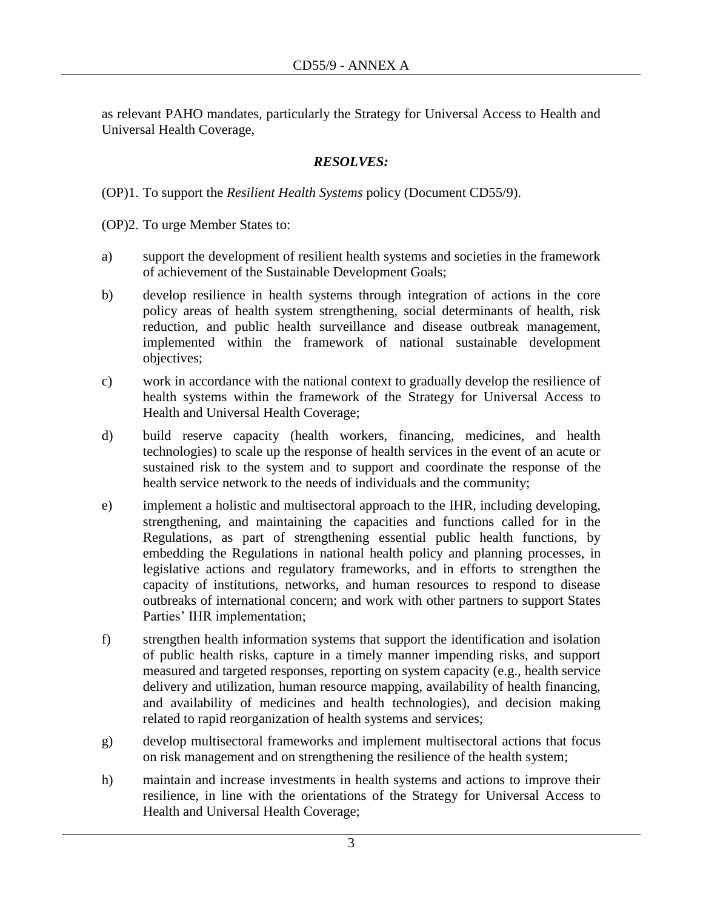as relevant PAHO mandates, particularly the Strategy for Universal Access to Health and Universal Health Coverage,

# *RESOLVES:*

(OP)1. To support the *Resilient Health Systems* policy (Document CD55/9).

(OP)2. To urge Member States to:

- a) support the development of resilient health systems and societies in the framework of achievement of the Sustainable Development Goals;
- b) develop resilience in health systems through integration of actions in the core policy areas of health system strengthening, social determinants of health, risk reduction, and public health surveillance and disease outbreak management, implemented within the framework of national sustainable development objectives;
- c) work in accordance with the national context to gradually develop the resilience of health systems within the framework of the Strategy for Universal Access to Health and Universal Health Coverage;
- d) build reserve capacity (health workers, financing, medicines, and health technologies) to scale up the response of health services in the event of an acute or sustained risk to the system and to support and coordinate the response of the health service network to the needs of individuals and the community;
- e) implement a holistic and multisectoral approach to the IHR, including developing, strengthening, and maintaining the capacities and functions called for in the Regulations, as part of strengthening essential public health functions, by embedding the Regulations in national health policy and planning processes, in legislative actions and regulatory frameworks, and in efforts to strengthen the capacity of institutions, networks, and human resources to respond to disease outbreaks of international concern; and work with other partners to support States Parties' IHR implementation;
- f) strengthen health information systems that support the identification and isolation of public health risks, capture in a timely manner impending risks, and support measured and targeted responses, reporting on system capacity (e.g., health service delivery and utilization, human resource mapping, availability of health financing, and availability of medicines and health technologies), and decision making related to rapid reorganization of health systems and services;
- g) develop multisectoral frameworks and implement multisectoral actions that focus on risk management and on strengthening the resilience of the health system;
- h) maintain and increase investments in health systems and actions to improve their resilience, in line with the orientations of the Strategy for Universal Access to Health and Universal Health Coverage;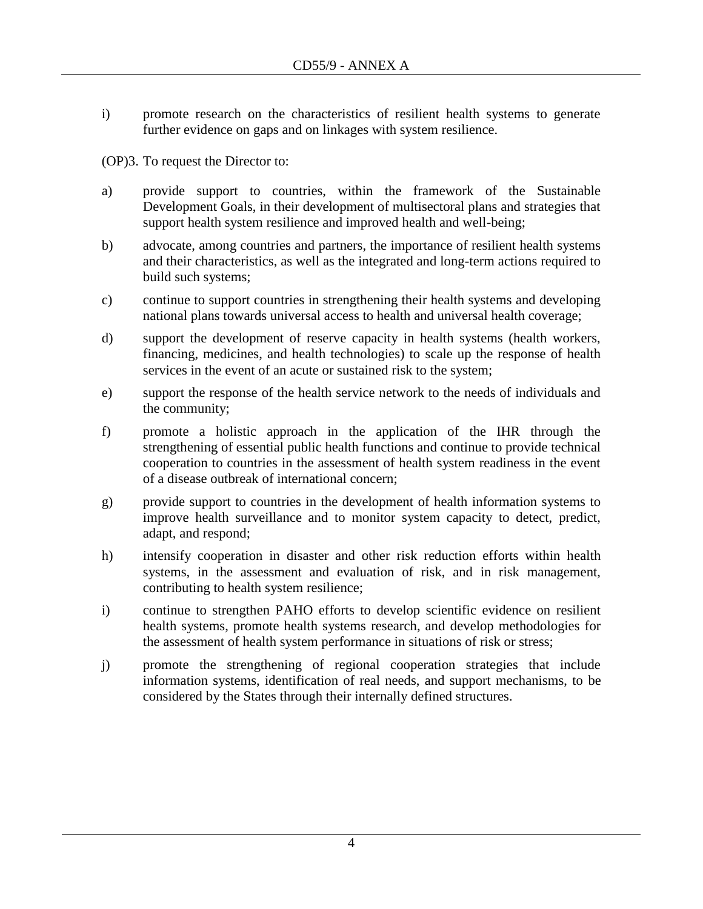i) promote research on the characteristics of resilient health systems to generate further evidence on gaps and on linkages with system resilience.

(OP)3. To request the Director to:

- a) provide support to countries, within the framework of the Sustainable Development Goals, in their development of multisectoral plans and strategies that support health system resilience and improved health and well-being;
- b) advocate, among countries and partners, the importance of resilient health systems and their characteristics, as well as the integrated and long-term actions required to build such systems;
- c) continue to support countries in strengthening their health systems and developing national plans towards universal access to health and universal health coverage;
- d) support the development of reserve capacity in health systems (health workers, financing, medicines, and health technologies) to scale up the response of health services in the event of an acute or sustained risk to the system;
- e) support the response of the health service network to the needs of individuals and the community;
- f) promote a holistic approach in the application of the IHR through the strengthening of essential public health functions and continue to provide technical cooperation to countries in the assessment of health system readiness in the event of a disease outbreak of international concern;
- g) provide support to countries in the development of health information systems to improve health surveillance and to monitor system capacity to detect, predict, adapt, and respond;
- h) intensify cooperation in disaster and other risk reduction efforts within health systems, in the assessment and evaluation of risk, and in risk management, contributing to health system resilience;
- i) continue to strengthen PAHO efforts to develop scientific evidence on resilient health systems, promote health systems research, and develop methodologies for the assessment of health system performance in situations of risk or stress;
- j) promote the strengthening of regional cooperation strategies that include information systems, identification of real needs, and support mechanisms, to be considered by the States through their internally defined structures.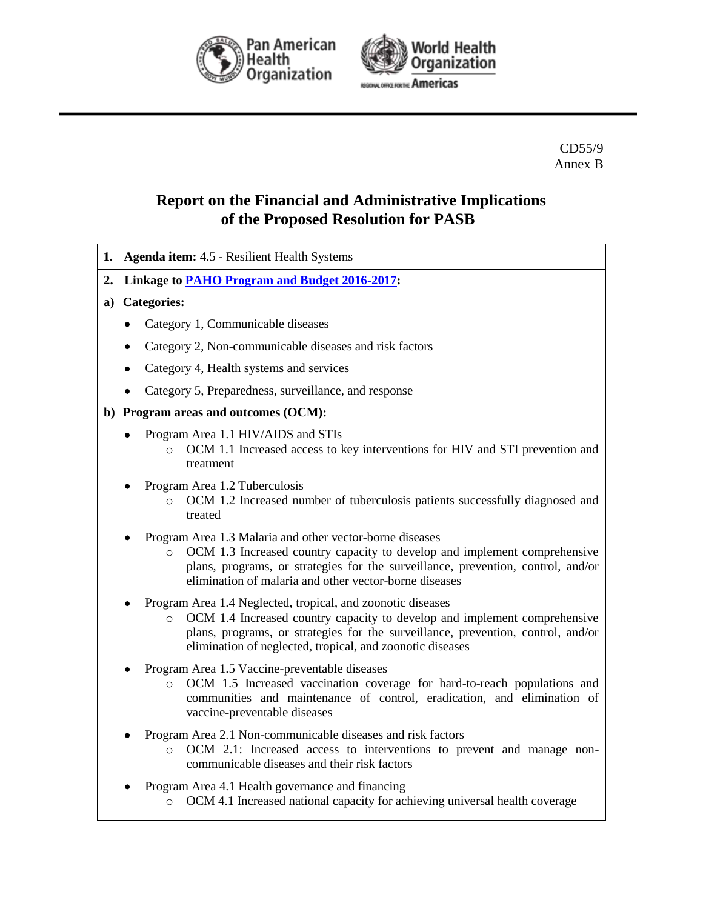



CD55/9 Annex B

# **Report on the Financial and Administrative Implications of the Proposed Resolution for PASB**

- **1. Agenda item:** 4.5 Resilient Health Systems
- **2. Linkage to [PAHO Program and Budget 2016-2017:](http://www.paho.org/hq/index.php?option=com_docman&task=doc_download&gid=31676&Itemid=270&lang=en)**

### **a) Categories:**

- Category 1, Communicable diseases
- Category 2, Non-communicable diseases and risk factors
- Category 4, Health systems and services
- Category 5, Preparedness, surveillance, and response

### **b) Program areas and outcomes (OCM):**

- Program Area 1.1 HIV/AIDS and STIs
	- o OCM 1.1 Increased access to key interventions for HIV and STI prevention and treatment
- Program Area 1.2 Tuberculosis
	- o OCM 1.2 Increased number of tuberculosis patients successfully diagnosed and treated
- Program Area 1.3 Malaria and other vector-borne diseases
	- o OCM 1.3 Increased country capacity to develop and implement comprehensive plans, programs, or strategies for the surveillance, prevention, control, and/or elimination of malaria and other vector-borne diseases
- Program Area 1.4 Neglected, tropical, and zoonotic diseases
	- o OCM 1.4 Increased country capacity to develop and implement comprehensive plans, programs, or strategies for the surveillance, prevention, control, and/or elimination of neglected, tropical, and zoonotic diseases
- Program Area 1.5 Vaccine-preventable diseases
	- o OCM 1.5 Increased vaccination coverage for hard-to-reach populations and communities and maintenance of control, eradication, and elimination of vaccine-preventable diseases
- Program Area 2.1 Non-communicable diseases and risk factors
	- o OCM 2.1: Increased access to interventions to prevent and manage noncommunicable diseases and their risk factors
- Program Area 4.1 Health governance and financing
	- o OCM 4.1 Increased national capacity for achieving universal health coverage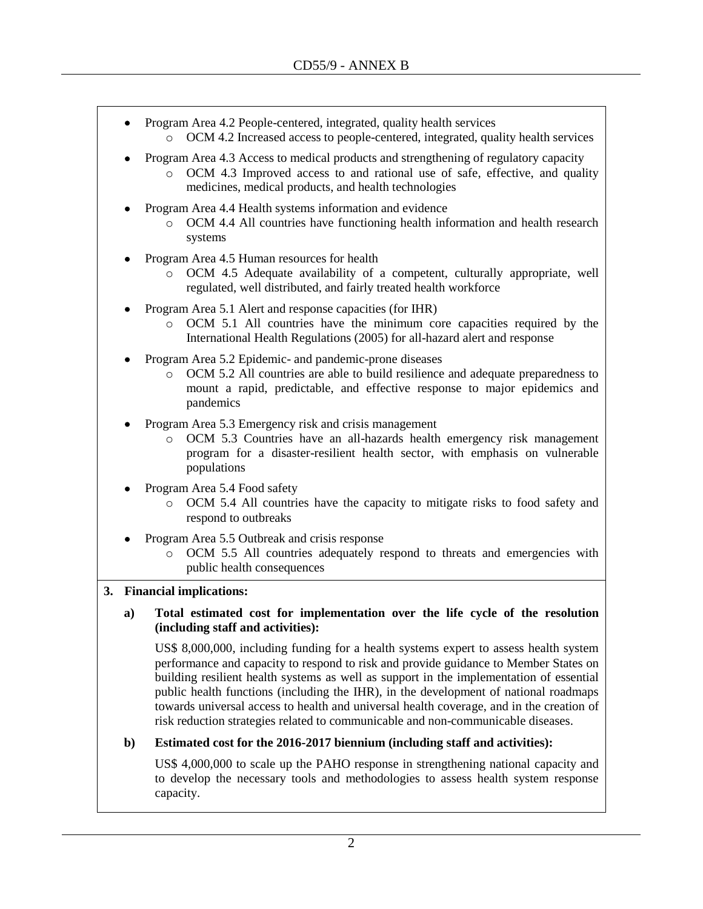- Program Area 4.2 People-centered, integrated, quality health services
	- o OCM 4.2 Increased access to people-centered, integrated, quality health services
- Program Area 4.3 Access to medical products and strengthening of regulatory capacity
	- o OCM 4.3 Improved access to and rational use of safe, effective, and quality medicines, medical products, and health technologies
- Program Area 4.4 Health systems information and evidence
	- o OCM 4.4 All countries have functioning health information and health research systems
- Program Area 4.5 Human resources for health
	- o OCM 4.5 Adequate availability of a competent, culturally appropriate, well regulated, well distributed, and fairly treated health workforce
- Program Area 5.1 Alert and response capacities (for IHR)
	- o OCM 5.1 All countries have the minimum core capacities required by the International Health Regulations (2005) for all-hazard alert and response
- Program Area 5.2 Epidemic- and pandemic-prone diseases
	- o OCM 5.2 All countries are able to build resilience and adequate preparedness to mount a rapid, predictable, and effective response to major epidemics and pandemics
- Program Area 5.3 Emergency risk and crisis management
	- o OCM 5.3 Countries have an all-hazards health emergency risk management program for a disaster-resilient health sector, with emphasis on vulnerable populations
- Program Area 5.4 Food safety
	- o OCM 5.4 All countries have the capacity to mitigate risks to food safety and respond to outbreaks
- Program Area 5.5 Outbreak and crisis response
	- o OCM 5.5 All countries adequately respond to threats and emergencies with public health consequences

### **3. Financial implications:**

**a) Total estimated cost for implementation over the life cycle of the resolution (including staff and activities):**

US\$ 8,000,000, including funding for a health systems expert to assess health system performance and capacity to respond to risk and provide guidance to Member States on building resilient health systems as well as support in the implementation of essential public health functions (including the IHR), in the development of national roadmaps towards universal access to health and universal health coverage, and in the creation of risk reduction strategies related to communicable and non-communicable diseases.

### **b) Estimated cost for the 2016-2017 biennium (including staff and activities):**

US\$ 4,000,000 to scale up the PAHO response in strengthening national capacity and to develop the necessary tools and methodologies to assess health system response capacity.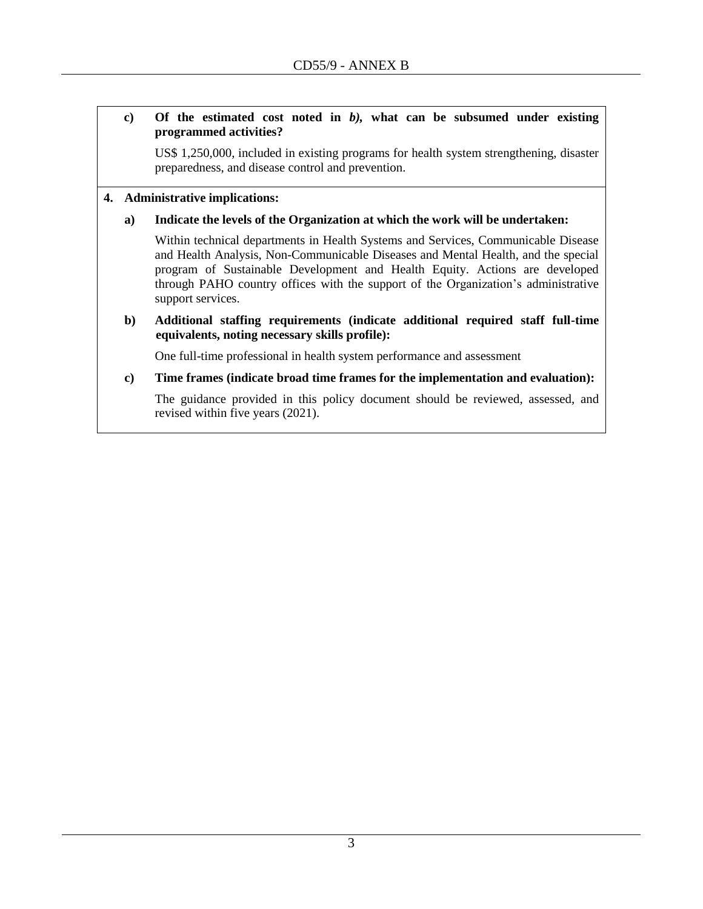### **c) Of the estimated cost noted in** *b),* **what can be subsumed under existing programmed activities?**

US\$ 1,250,000, included in existing programs for health system strengthening, disaster preparedness, and disease control and prevention.

#### **4. Administrative implications:**

#### **a) Indicate the levels of the Organization at which the work will be undertaken:**

Within technical departments in Health Systems and Services, Communicable Disease and Health Analysis, Non-Communicable Diseases and Mental Health, and the special program of Sustainable Development and Health Equity. Actions are developed through PAHO country offices with the support of the Organization's administrative support services.

**b) Additional staffing requirements (indicate additional required staff full-time equivalents, noting necessary skills profile):**

One full-time professional in health system performance and assessment

**c) Time frames (indicate broad time frames for the implementation and evaluation):** 

The guidance provided in this policy document should be reviewed, assessed, and revised within five years (2021).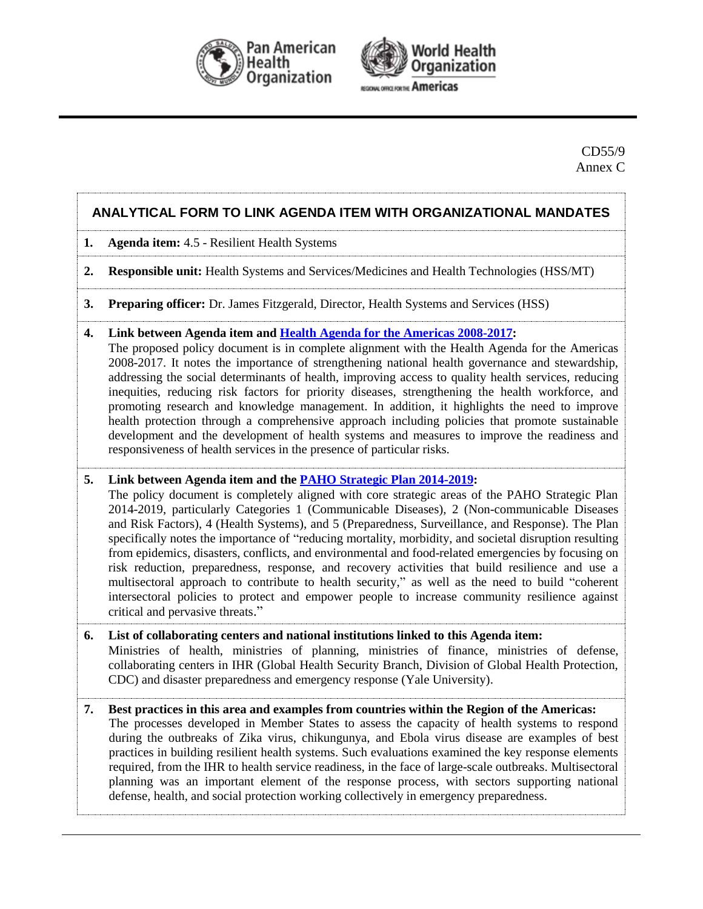



### CD55/9 Annex C

# **ANALYTICAL FORM TO LINK AGENDA ITEM WITH ORGANIZATIONAL MANDATES**

- **1. Agenda item:** 4.5 Resilient Health Systems
- **2. Responsible unit:** Health Systems and Services/Medicines and Health Technologies (HSS/MT)
- **3. Preparing officer:** Dr. James Fitzgerald, Director, Health Systems and Services (HSS)
- **4. Link between Agenda item and [Health Agenda for the Americas 2008-2017:](http://www.paho.org/hq/index.php?option=com_docman&task=doc_download&gid=3546&Itemid=)**

The proposed policy document is in complete alignment with the Health Agenda for the Americas 2008-2017. It notes the importance of strengthening national health governance and stewardship, addressing the social determinants of health, improving access to quality health services, reducing inequities, reducing risk factors for priority diseases, strengthening the health workforce, and promoting research and knowledge management. In addition, it highlights the need to improve health protection through a comprehensive approach including policies that promote sustainable development and the development of health systems and measures to improve the readiness and responsiveness of health services in the presence of particular risks.

#### **5. Link between Agenda item and the [PAHO Strategic Plan 2014-2019:](http://www.paho.org/hq/index.php?option=com_docman&task=doc_download&gid=27015&Itemid=270&lang=en)**

The policy document is completely aligned with core strategic areas of the PAHO Strategic Plan 2014-2019, particularly Categories 1 (Communicable Diseases), 2 (Non-communicable Diseases and Risk Factors), 4 (Health Systems), and 5 (Preparedness, Surveillance, and Response). The Plan specifically notes the importance of "reducing mortality, morbidity, and societal disruption resulting from epidemics, disasters, conflicts, and environmental and food-related emergencies by focusing on risk reduction, preparedness, response, and recovery activities that build resilience and use a multisectoral approach to contribute to health security," as well as the need to build "coherent intersectoral policies to protect and empower people to increase community resilience against critical and pervasive threats."

### **6. List of collaborating centers and national institutions linked to this Agenda item:** Ministries of health, ministries of planning, ministries of finance, ministries of defense, collaborating centers in IHR (Global Health Security Branch, Division of Global Health Protection, CDC) and disaster preparedness and emergency response (Yale University).

### **7. Best practices in this area and examples from countries within the Region of the Americas:**  The processes developed in Member States to assess the capacity of health systems to respond during the outbreaks of Zika virus, chikungunya, and Ebola virus disease are examples of best practices in building resilient health systems. Such evaluations examined the key response elements required, from the IHR to health service readiness, in the face of large-scale outbreaks. Multisectoral planning was an important element of the response process, with sectors supporting national defense, health, and social protection working collectively in emergency preparedness.